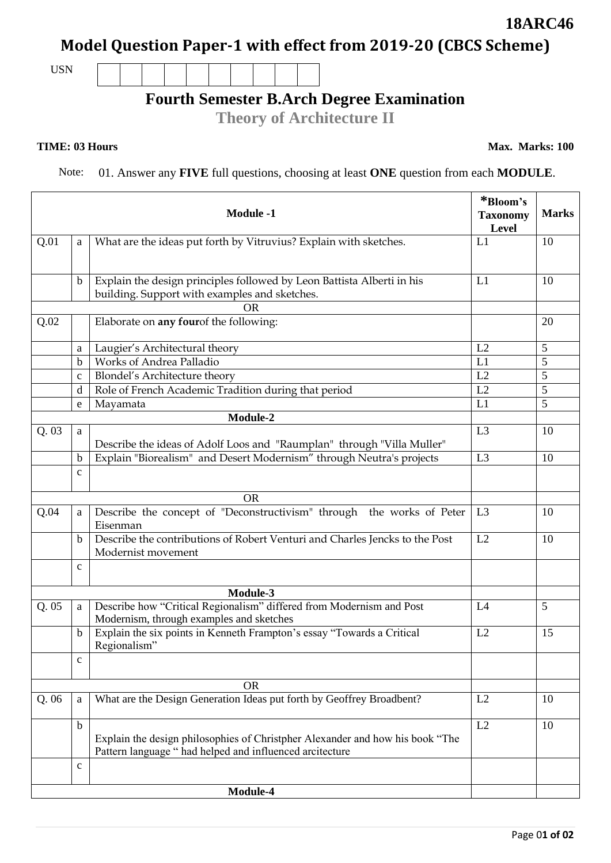## **Model Question Paper-1 with effect from 2019-20 (CBCS Scheme)**

USN

## **Fourth Semester B.Arch Degree Examination**

**Theory of Architecture II**

Note: 01. Answer any **FIVE** full questions, choosing at least **ONE** question from each **MODULE**.

| <b>Module -1</b> |              |                                                                                                                                           | *Bloom's<br><b>Taxonomy</b><br>Level | <b>Marks</b> |
|------------------|--------------|-------------------------------------------------------------------------------------------------------------------------------------------|--------------------------------------|--------------|
| Q.01             | a            | What are the ideas put forth by Vitruvius? Explain with sketches.                                                                         | L1                                   | 10           |
|                  | b            | Explain the design principles followed by Leon Battista Alberti in his                                                                    | L1                                   | 10           |
|                  |              | building. Support with examples and sketches.                                                                                             |                                      |              |
| Q.02             |              | <b>OR</b><br>Elaborate on any fourof the following:                                                                                       |                                      | 20           |
|                  |              |                                                                                                                                           |                                      |              |
|                  | a            | Laugier's Architectural theory                                                                                                            | L2                                   | 5            |
|                  | b            | Works of Andrea Palladio                                                                                                                  | L1                                   | 5            |
|                  | $\mathbf c$  | Blondel's Architecture theory                                                                                                             | L2                                   | 5            |
|                  | $\mathbf d$  | Role of French Academic Tradition during that period                                                                                      | L2                                   | 5            |
|                  | e            | Mayamata                                                                                                                                  | L1                                   | 5            |
|                  |              | Module-2                                                                                                                                  |                                      |              |
| Q.03             | a            | Describe the ideas of Adolf Loos and "Raumplan" through "Villa Muller"                                                                    | L3                                   | 10           |
|                  | b            | Explain "Biorealism" and Desert Modernism" through Neutra's projects                                                                      | L <sub>3</sub>                       | 10           |
|                  | $\mathbf C$  |                                                                                                                                           |                                      |              |
|                  |              | <b>OR</b>                                                                                                                                 |                                      |              |
| Q.04             | a            | Describe the concept of "Deconstructivism" through the works of Peter<br>Eisenman                                                         | L3                                   | 10           |
|                  | b            | Describe the contributions of Robert Venturi and Charles Jencks to the Post<br>Modernist movement                                         | L2                                   | 10           |
|                  | $\mathbf{C}$ |                                                                                                                                           |                                      |              |
|                  |              | Module-3                                                                                                                                  |                                      |              |
| Q.05             | a            | Describe how "Critical Regionalism" differed from Modernism and Post<br>Modernism, through examples and sketches                          | L4                                   | 5            |
|                  | b            | Explain the six points in Kenneth Frampton's essay "Towards a Critical<br>Regionalism"                                                    | L2                                   | 15           |
|                  | $\mathbf C$  |                                                                                                                                           |                                      |              |
|                  |              | <b>OR</b>                                                                                                                                 |                                      |              |
| Q.06             | a            | What are the Design Generation Ideas put forth by Geoffrey Broadbent?                                                                     | L2                                   | 10           |
|                  | $\mathbf b$  | Explain the design philosophies of Christpher Alexander and how his book "The<br>Pattern language " had helped and influenced arcitecture | L2                                   | 10           |
|                  | $\mathbf C$  |                                                                                                                                           |                                      |              |
|                  |              | Module-4                                                                                                                                  |                                      |              |

**18ARC46**

**TIME: 03 Hours Max. Marks: 100**